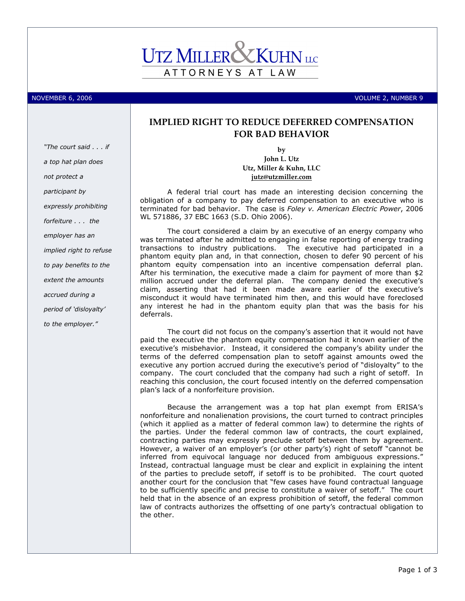# ATTORNEYS AT LAW

NOVEMBER 6, 2006 VOLUME 2, NUMBER 9

# "The court said . . . if a top hat plan does not protect a participant by expressly prohibiting forfeiture . . . the employer has an implied right to refuse to pay benefits to the extent the amounts accrued during a period of 'disloyalty' to the employer."

## IMPLIED RIGHT TO REDUCE DEFERRED COMPENSATION FOR BAD BEHAVIOR

by John L. Utz Utz, Miller & Kuhn, LLC jutz@utzmiller.com

A federal trial court has made an interesting decision concerning the obligation of a company to pay deferred compensation to an executive who is terminated for bad behavior. The case is Foley v. American Electric Power, 2006 WL 571886, 37 EBC 1663 (S.D. Ohio 2006).

The court considered a claim by an executive of an energy company who was terminated after he admitted to engaging in false reporting of energy trading transactions to industry publications. The executive had participated in a phantom equity plan and, in that connection, chosen to defer 90 percent of his phantom equity compensation into an incentive compensation deferral plan. After his termination, the executive made a claim for payment of more than \$2 million accrued under the deferral plan. The company denied the executive's claim, asserting that had it been made aware earlier of the executive's misconduct it would have terminated him then, and this would have foreclosed any interest he had in the phantom equity plan that was the basis for his deferrals.

The court did not focus on the company's assertion that it would not have paid the executive the phantom equity compensation had it known earlier of the executive's misbehavior. Instead, it considered the company's ability under the terms of the deferred compensation plan to setoff against amounts owed the executive any portion accrued during the executive's period of "disloyalty" to the company. The court concluded that the company had such a right of setoff. In reaching this conclusion, the court focused intently on the deferred compensation plan's lack of a nonforfeiture provision.

Because the arrangement was a top hat plan exempt from ERISA's nonforfeiture and nonalienation provisions, the court turned to contract principles (which it applied as a matter of federal common law) to determine the rights of the parties. Under the federal common law of contracts, the court explained, contracting parties may expressly preclude setoff between them by agreement. However, a waiver of an employer's (or other party's) right of setoff "cannot be inferred from equivocal language nor deduced from ambiguous expressions." Instead, contractual language must be clear and explicit in explaining the intent of the parties to preclude setoff, if setoff is to be prohibited. The court quoted another court for the conclusion that "few cases have found contractual language to be sufficiently specific and precise to constitute a waiver of setoff." The court held that in the absence of an express prohibition of setoff, the federal common law of contracts authorizes the offsetting of one party's contractual obligation to the other.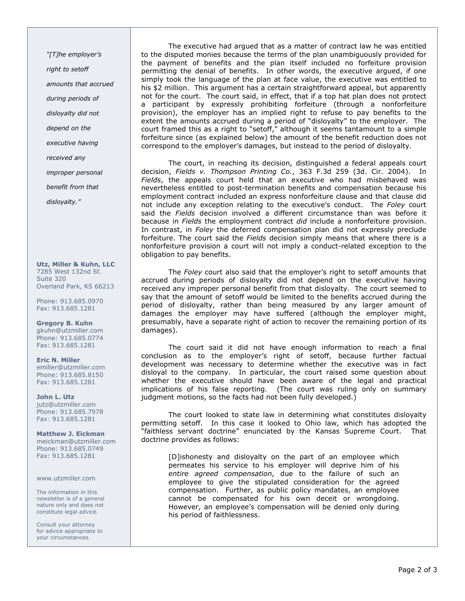"[T]he employer's right to setoff amounts that accrued during periods of disloyalty did not depend on the executive having received any improper personal benefit from that disloyalty."

Utz, Miller & Kuhn, LLC 7285 West 132nd St. Suite 320 Overland Park, KS 66213

Phone: 913.685.0970 Fax: 913.685.1281

Gregory B. Kuhn gkuhn@utzmiller.com Phone: 913.685.0774 Fax: 913.685.1281

Eric N. Miller emiller@utzmiller.com Phone: 913.685.8150 Fax: 913.685.1281

John L. Utz jutz@utzmiller.com Phone: 913.685.7978 Fax: 913.685.1281

Matthew J. Eickman meickman@utzmiller.com Phone: 913.685.0749 Fax: 913.685.1281

www.utzmiller.com

The information in this newsletter is of a general nature only and does not constitute legal advice.

Consult your attorney for advice appropriate to your circumstances.

The executive had argued that as a matter of contract law he was entitled to the disputed monies because the terms of the plan unambiguously provided for the payment of benefits and the plan itself included no forfeiture provision permitting the denial of benefits. In other words, the executive argued, if one simply took the language of the plan at face value, the executive was entitled to his \$2 million. This argument has a certain straightforward appeal, but apparently not for the court. The court said, in effect, that if a top hat plan does not protect a participant by expressly prohibiting forfeiture (through a nonforfeiture provision), the employer has an implied right to refuse to pay benefits to the extent the amounts accrued during a period of "disloyalty" to the employer. The court framed this as a right to "setoff," although it seems tantamount to a simple forfeiture since (as explained below) the amount of the benefit reduction does not correspond to the employer's damages, but instead to the period of disloyalty.

The court, in reaching its decision, distinguished a federal appeals court decision, Fields v. Thompson Printing Co., 363 F.3d 259 (3d. Cir. 2004). In Fields, the appeals court held that an executive who had misbehaved was nevertheless entitled to post-termination benefits and compensation because his employment contract included an express nonforfeiture clause and that clause did not include any exception relating to the executive's conduct. The Foley court said the Fields decision involved a different circumstance than was before it because in Fields the employment contract did include a nonforfeiture provision. In contrast, in Foley the deferred compensation plan did not expressly preclude forfeiture. The court said the Fields decision simply means that where there is a nonforfeiture provision a court will not imply a conduct-related exception to the obligation to pay benefits.

The Foley court also said that the employer's right to setoff amounts that accrued during periods of disloyalty did not depend on the executive having received any improper personal benefit from that disloyalty. The court seemed to say that the amount of setoff would be limited to the benefits accrued during the period of disloyalty, rather than being measured by any larger amount of damages the employer may have suffered (although the employer might, presumably, have a separate right of action to recover the remaining portion of its damages).

The court said it did not have enough information to reach a final conclusion as to the employer's right of setoff, because further factual development was necessary to determine whether the executive was in fact disloyal to the company. In particular, the court raised some question about whether the executive should have been aware of the legal and practical implications of his false reporting. (The court was ruling only on summary judgment motions, so the facts had not been fully developed.)

The court looked to state law in determining what constitutes disloyalty permitting setoff. In this case it looked to Ohio law, which has adopted the "faithless servant doctrine" enunciated by the Kansas Supreme Court. That doctrine provides as follows:

[D]ishonesty and disloyalty on the part of an employee which permeates his service to his employer will deprive him of his entire agreed compensation, due to the failure of such an employee to give the stipulated consideration for the agreed compensation. Further, as public policy mandates, an employee cannot be compensated for his own deceit or wrongdoing. However, an employee's compensation will be denied only during his period of faithlessness.